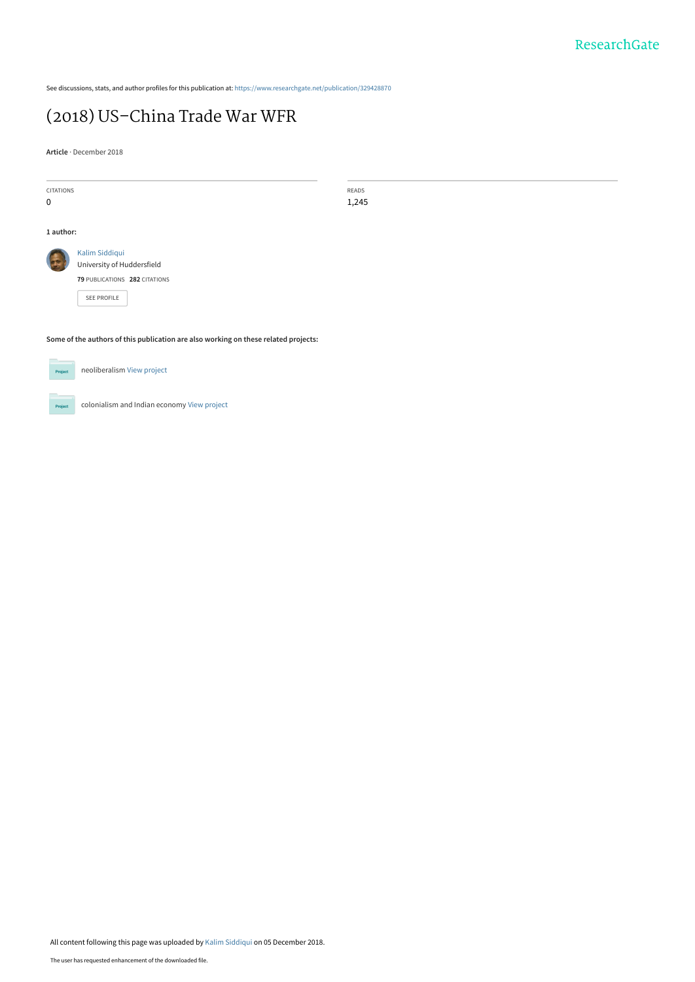See discussions, stats, and author profiles for this publication at: [https://www.researchgate.net/publication/329428870](https://www.researchgate.net/publication/329428870_2018_US-China_Trade_War_WFR?enrichId=rgreq-2cb6e1e231fd45a184552f93dd9bfd1b-XXX&enrichSource=Y292ZXJQYWdlOzMyOTQyODg3MDtBUzo3MDA2MTY2Nzg1OTI1MTJAMTU0NDA1MTQ0MTA1OA%3D%3D&el=1_x_2&_esc=publicationCoverPdf)

## [\(2018\) US–China Trade War WFR](https://www.researchgate.net/publication/329428870_2018_US-China_Trade_War_WFR?enrichId=rgreq-2cb6e1e231fd45a184552f93dd9bfd1b-XXX&enrichSource=Y292ZXJQYWdlOzMyOTQyODg3MDtBUzo3MDA2MTY2Nzg1OTI1MTJAMTU0NDA1MTQ0MTA1OA%3D%3D&el=1_x_3&_esc=publicationCoverPdf)

**Article** · December 2018

| <b>CITATIONS</b>                                                                    |                               | READS |
|-------------------------------------------------------------------------------------|-------------------------------|-------|
| 0                                                                                   |                               | 1,245 |
|                                                                                     |                               |       |
|                                                                                     |                               |       |
| 1 author:                                                                           |                               |       |
|                                                                                     |                               |       |
|                                                                                     | Kalim Siddiqui                |       |
|                                                                                     | University of Huddersfield    |       |
|                                                                                     | 79 PUBLICATIONS 282 CITATIONS |       |
|                                                                                     | SEE PROFILE                   |       |
|                                                                                     |                               |       |
|                                                                                     |                               |       |
|                                                                                     |                               |       |
| Some of the authors of this publication are also working on these related projects: |                               |       |
|                                                                                     |                               |       |
|                                                                                     |                               |       |
| neoliberalism View project<br>Project                                               |                               |       |
|                                                                                     |                               |       |

colonialism and Indian economy [View project](https://www.researchgate.net/project/colonialism-and-Indian-economy?enrichId=rgreq-2cb6e1e231fd45a184552f93dd9bfd1b-XXX&enrichSource=Y292ZXJQYWdlOzMyOTQyODg3MDtBUzo3MDA2MTY2Nzg1OTI1MTJAMTU0NDA1MTQ0MTA1OA%3D%3D&el=1_x_9&_esc=publicationCoverPdf) **Project**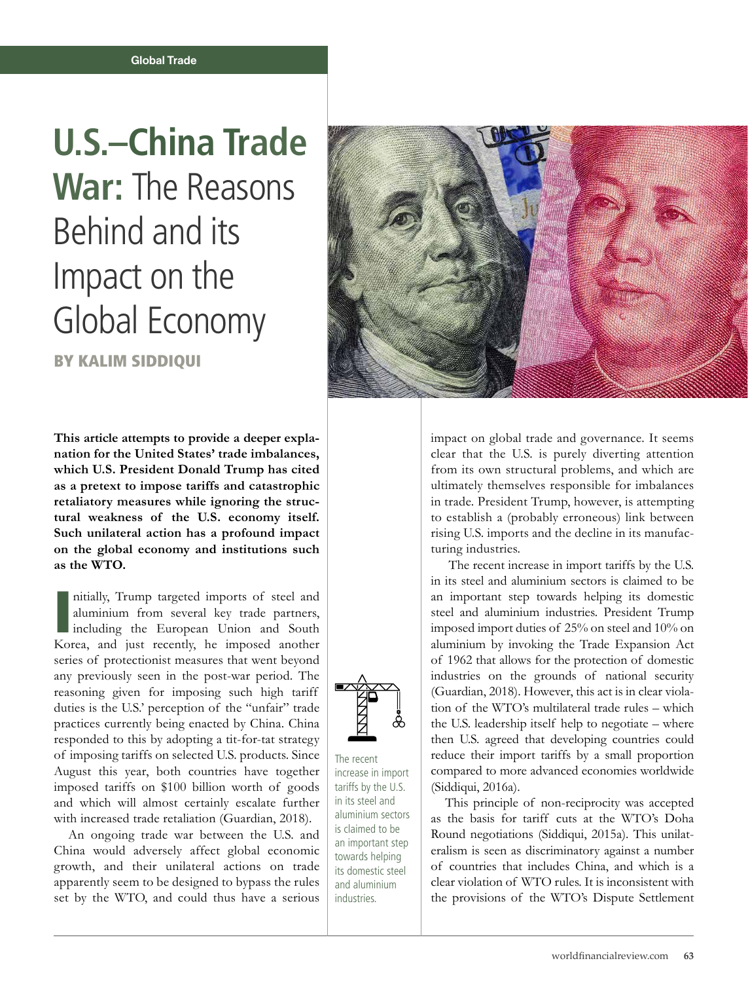## **U.S.–China Trade War:** The Reasons Behind and its Impact on the Global Economy

BY KALIM SIDDIQUI

**This article attempts to provide a deeper explanation for the United States' trade imbalances, which U.S. President Donald Trump has cited as a pretext to impose tariffs and catastrophic retaliatory measures while ignoring the structural weakness of the U.S. economy itself. Such unilateral action has a profound impact on the global economy and institutions such as the WTO.** 

nitially, Trump targeted imports of steel and aluminium from several key trade partners, including the European Union and South Korea, and just recently, he imposed another nitially, Trump targeted imports of steel and aluminium from several key trade partners, Including the European Union and South series of protectionist measures that went beyond any previously seen in the post-war period. The reasoning given for imposing such high tariff duties is the U.S.' perception of the "unfair" trade practices currently being enacted by China. China responded to this by adopting a tit-for-tat strategy of imposing tariffs on selected U.S. products. Since August this year, both countries have together imposed tariffs on \$100 billion worth of goods and which will almost certainly escalate further with increased trade retaliation (Guardian, 2018).

An ongoing trade war between the U.S. and China would adversely affect global economic growth, and their unilateral actions on trade apparently seem to be designed to bypass the rules set by the WTO, and could thus have a serious



impact on global trade and governance. It seems clear that the U.S. is purely diverting attention from its own structural problems, and which are ultimately themselves responsible for imbalances in trade. President Trump, however, is attempting to establish a (probably erroneous) link between rising U.S. imports and the decline in its manufacturing industries.

 The recent increase in import tariffs by the U.S. in its steel and aluminium sectors is claimed to be an important step towards helping its domestic steel and aluminium industries. President Trump imposed import duties of 25% on steel and 10% on aluminium by invoking the Trade Expansion Act of 1962 that allows for the protection of domestic industries on the grounds of national security (Guardian, 2018). However, this act is in clear violation of the WTO's multilateral trade rules – which the U.S. leadership itself help to negotiate – where then U.S. agreed that developing countries could reduce their import tariffs by a small proportion compared to more advanced economies worldwide (Siddiqui, 2016a).

This principle of non-reciprocity was accepted as the basis for tariff cuts at the WTO's Doha Round negotiations (Siddiqui, 2015a). This unilateralism is seen as discriminatory against a number of countries that includes China, and which is a clear violation of WTO rules. It is inconsistent with the provisions of the WTO's Dispute Settlement



The recent increase in import tariffs by the U.S. in its steel and aluminium sectors is claimed to be an important step towards helping its domestic steel and aluminium industries.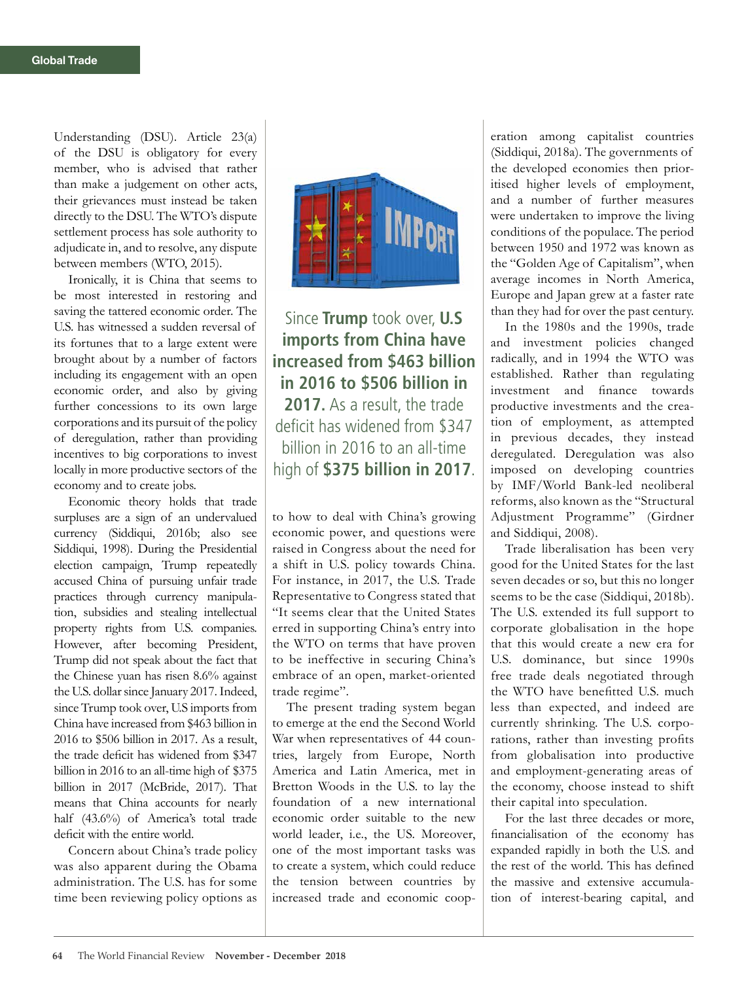Understanding (DSU). Article 23(a) of the DSU is obligatory for every member, who is advised that rather than make a judgement on other acts, their grievances must instead be taken directly to the DSU. The WTO's dispute settlement process has sole authority to adjudicate in, and to resolve, any dispute between members (WTO, 2015).

Ironically, it is China that seems to be most interested in restoring and saving the tattered economic order. The U.S. has witnessed a sudden reversal of its fortunes that to a large extent were brought about by a number of factors including its engagement with an open economic order, and also by giving further concessions to its own large corporations and its pursuit of the policy of deregulation, rather than providing incentives to big corporations to invest locally in more productive sectors of the economy and to create jobs.

Economic theory holds that trade surpluses are a sign of an undervalued currency (Siddiqui, 2016b; also see Siddiqui, 1998). During the Presidential election campaign, Trump repeatedly accused China of pursuing unfair trade practices through currency manipulation, subsidies and stealing intellectual property rights from U.S. companies. However, after becoming President, Trump did not speak about the fact that the Chinese yuan has risen 8.6% against the U.S. dollar since January 2017. Indeed, since Trump took over, U.S imports from China have increased from \$463 billion in 2016 to \$506 billion in 2017. As a result, the trade deficit has widened from \$347 billion in 2016 to an all-time high of \$375 billion in 2017 (McBride, 2017). That means that China accounts for nearly half (43.6%) of America's total trade deficit with the entire world.

Concern about China's trade policy was also apparent during the Obama administration. The U.S. has for some time been reviewing policy options as



Since **Trump** took over, **U.S imports from China have increased from \$463 billion in 2016 to \$506 billion in 2017.** As a result, the trade deficit has widened from \$347 billion in 2016 to an all-time high of **\$375 billion in 2017**.

to how to deal with China's growing economic power, and questions were raised in Congress about the need for a shift in U.S. policy towards China. For instance, in 2017, the U.S. Trade Representative to Congress stated that "It seems clear that the United States erred in supporting China's entry into the WTO on terms that have proven to be ineffective in securing China's embrace of an open, market-oriented trade regime".

The present trading system began to emerge at the end the Second World War when representatives of 44 countries, largely from Europe, North America and Latin America, met in Bretton Woods in the U.S. to lay the foundation of a new international economic order suitable to the new world leader, i.e., the US. Moreover, one of the most important tasks was to create a system, which could reduce the tension between countries by increased trade and economic cooperation among capitalist countries (Siddiqui, 2018a). The governments of the developed economies then prioritised higher levels of employment, and a number of further measures were undertaken to improve the living conditions of the populace. The period between 1950 and 1972 was known as the "Golden Age of Capitalism", when average incomes in North America, Europe and Japan grew at a faster rate than they had for over the past century.

In the 1980s and the 1990s, trade and investment policies changed radically, and in 1994 the WTO was established. Rather than regulating investment and finance towards productive investments and the creation of employment, as attempted in previous decades, they instead deregulated. Deregulation was also imposed on developing countries by IMF/World Bank-led neoliberal reforms, also known as the "Structural Adjustment Programme" (Girdner and Siddiqui, 2008).

Trade liberalisation has been very good for the United States for the last seven decades or so, but this no longer seems to be the case (Siddiqui, 2018b). The U.S. extended its full support to corporate globalisation in the hope that this would create a new era for U.S. dominance, but since 1990s free trade deals negotiated through the WTO have benefitted U.S. much less than expected, and indeed are currently shrinking. The U.S. corporations, rather than investing profits from globalisation into productive and employment-generating areas of the economy, choose instead to shift their capital into speculation.

For the last three decades or more, financialisation of the economy has expanded rapidly in both the U.S. and the rest of the world. This has defined the massive and extensive accumulation of interest-bearing capital, and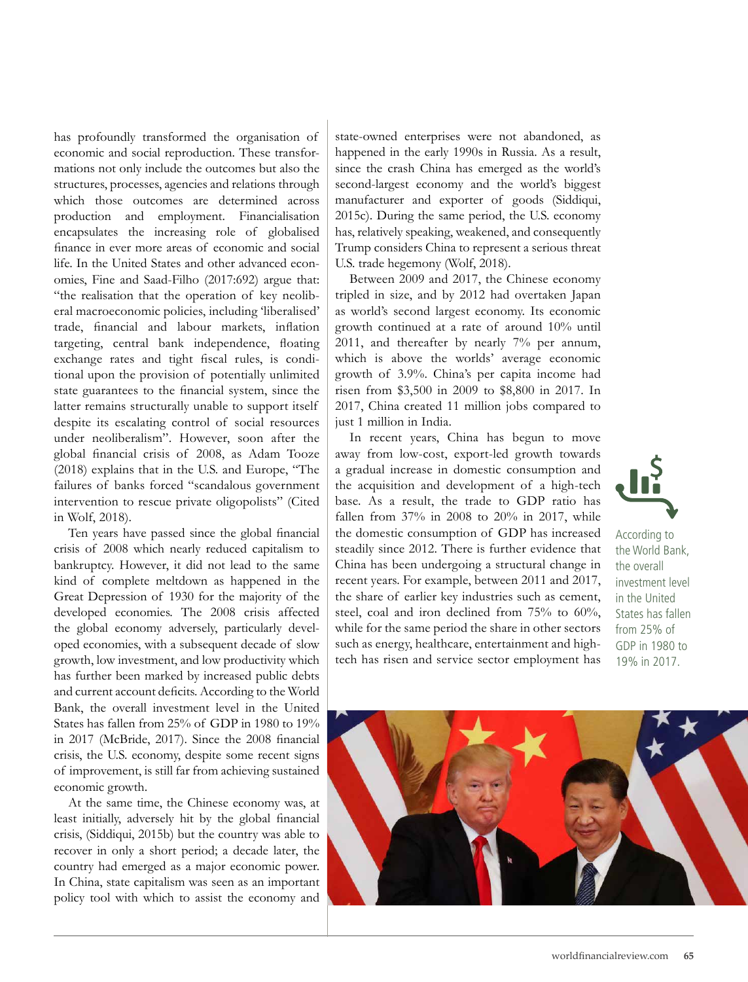has profoundly transformed the organisation of economic and social reproduction. These transformations not only include the outcomes but also the structures, processes, agencies and relations through which those outcomes are determined across production and employment. Financialisation encapsulates the increasing role of globalised finance in ever more areas of economic and social life. In the United States and other advanced economies, Fine and Saad-Filho (2017:692) argue that: "the realisation that the operation of key neoliberal macroeconomic policies, including 'liberalised' trade, financial and labour markets, inflation targeting, central bank independence, floating exchange rates and tight fiscal rules, is conditional upon the provision of potentially unlimited state guarantees to the financial system, since the latter remains structurally unable to support itself despite its escalating control of social resources under neoliberalism". However, soon after the global financial crisis of 2008, as Adam Tooze (2018) explains that in the U.S. and Europe, "The failures of banks forced "scandalous government intervention to rescue private oligopolists" (Cited in Wolf, 2018).

Ten years have passed since the global financial crisis of 2008 which nearly reduced capitalism to bankruptcy. However, it did not lead to the same kind of complete meltdown as happened in the Great Depression of 1930 for the majority of the developed economies. The 2008 crisis affected the global economy adversely, particularly developed economies, with a subsequent decade of slow growth, low investment, and low productivity which has further been marked by increased public debts and current account deficits. According to the World Bank, the overall investment level in the United States has fallen from 25% of GDP in 1980 to 19% in 2017 (McBride, 2017). Since the 2008 financial crisis, the U.S. economy, despite some recent signs of improvement, is still far from achieving sustained economic growth.

At the same time, the Chinese economy was, at least initially, adversely hit by the global financial crisis, (Siddiqui, 2015b) but the country was able to recover in only a short period; a decade later, the country had emerged as a major economic power. In China, state capitalism was seen as an important policy tool with which to assist the economy and

state-owned enterprises were not abandoned, as happened in the early 1990s in Russia. As a result, since the crash China has emerged as the world's second-largest economy and the world's biggest manufacturer and exporter of goods (Siddiqui, 2015c). During the same period, the U.S. economy has, relatively speaking, weakened, and consequently Trump considers China to represent a serious threat U.S. trade hegemony (Wolf, 2018).

Between 2009 and 2017, the Chinese economy tripled in size, and by 2012 had overtaken Japan as world's second largest economy. Its economic growth continued at a rate of around 10% until 2011, and thereafter by nearly 7% per annum, which is above the worlds' average economic growth of 3.9%. China's per capita income had risen from \$3,500 in 2009 to \$8,800 in 2017. In 2017, China created 11 million jobs compared to just 1 million in India.

In recent years, China has begun to move away from low-cost, export-led growth towards a gradual increase in domestic consumption and the acquisition and development of a high-tech base. As a result, the trade to GDP ratio has fallen from 37% in 2008 to 20% in 2017, while the domestic consumption of GDP has increased steadily since 2012. There is further evidence that China has been undergoing a structural change in recent years. For example, between 2011 and 2017, the share of earlier key industries such as cement, steel, coal and iron declined from 75% to 60%, while for the same period the share in other sectors such as energy, healthcare, entertainment and hightech has risen and service sector employment has



According to the World Bank, the overall investment level in the United States has fallen from 25% of GDP in 1980 to 19% in 2017.

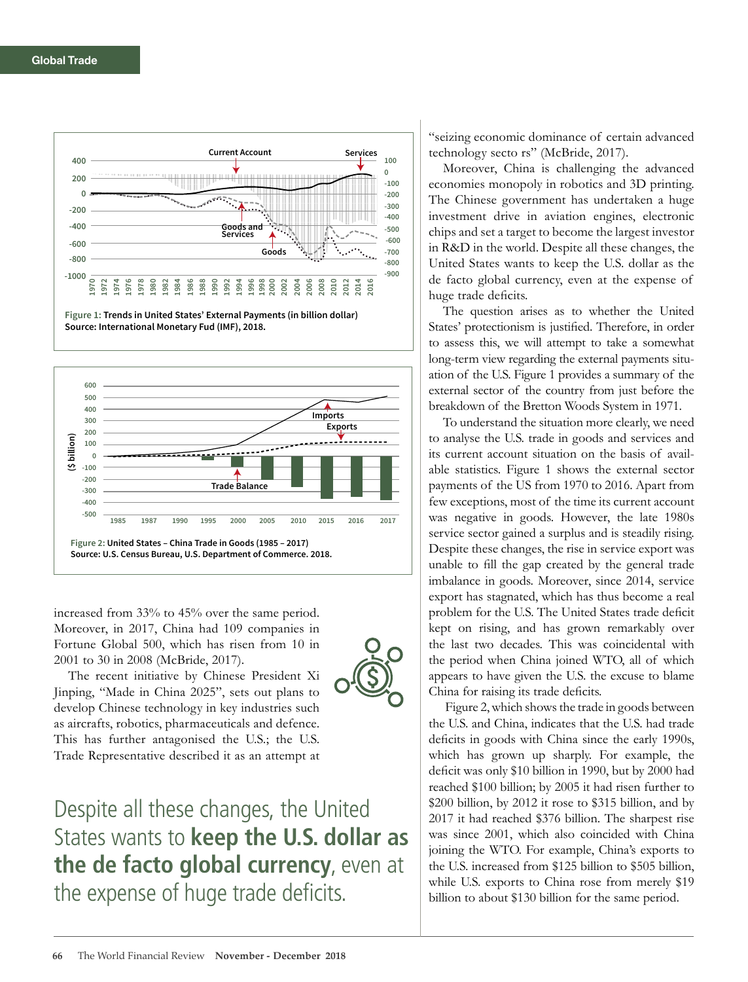

**Figure 1: Trends in United States' External Payments (in billion dollar) Source: International Monetary Fud (IMF), 2018.**



increased from 33% to 45% over the same period. Moreover, in 2017, China had 109 companies in Fortune Global 500, which has risen from 10 in 2001 to 30 in 2008 (McBride, 2017).

The recent initiative by Chinese President Xi Jinping, "Made in China 2025", sets out plans to develop Chinese technology in key industries such as aircrafts, robotics, pharmaceuticals and defence. This has further antagonised the U.S.; the U.S. Trade Representative described it as an attempt at



Despite all these changes, the United States wants to **keep the U.S. dollar as the de facto global currency**, even at the expense of huge trade deficits.

"seizing economic dominance of certain advanced technology secto rs" (McBride, 2017).

Moreover, China is challenging the advanced economies monopoly in robotics and 3D printing. The Chinese government has undertaken a huge investment drive in aviation engines, electronic chips and set a target to become the largest investor in R&D in the world. Despite all these changes, the United States wants to keep the U.S. dollar as the de facto global currency, even at the expense of huge trade deficits.

The question arises as to whether the United States' protectionism is justified. Therefore, in order to assess this, we will attempt to take a somewhat long-term view regarding the external payments situation of the U.S. Figure 1 provides a summary of the external sector of the country from just before the breakdown of the Bretton Woods System in 1971.

To understand the situation more clearly, we need to analyse the U.S. trade in goods and services and its current account situation on the basis of available statistics. Figure 1 shows the external sector payments of the US from 1970 to 2016. Apart from few exceptions, most of the time its current account was negative in goods. However, the late 1980s service sector gained a surplus and is steadily rising. Despite these changes, the rise in service export was unable to fill the gap created by the general trade imbalance in goods. Moreover, since 2014, service export has stagnated, which has thus become a real problem for the U.S. The United States trade deficit kept on rising, and has grown remarkably over the last two decades. This was coincidental with the period when China joined WTO, all of which appears to have given the U.S. the excuse to blame China for raising its trade deficits.

 Figure 2, which shows the trade in goods between the U.S. and China, indicates that the U.S. had trade deficits in goods with China since the early 1990s, which has grown up sharply. For example, the deficit was only \$10 billion in 1990, but by 2000 had reached \$100 billion; by 2005 it had risen further to \$200 billion, by 2012 it rose to \$315 billion, and by 2017 it had reached \$376 billion. The sharpest rise was since 2001, which also coincided with China joining the WTO. For example, China's exports to the U.S. increased from \$125 billion to \$505 billion, while U.S. exports to China rose from merely \$19 billion to about \$130 billion for the same period.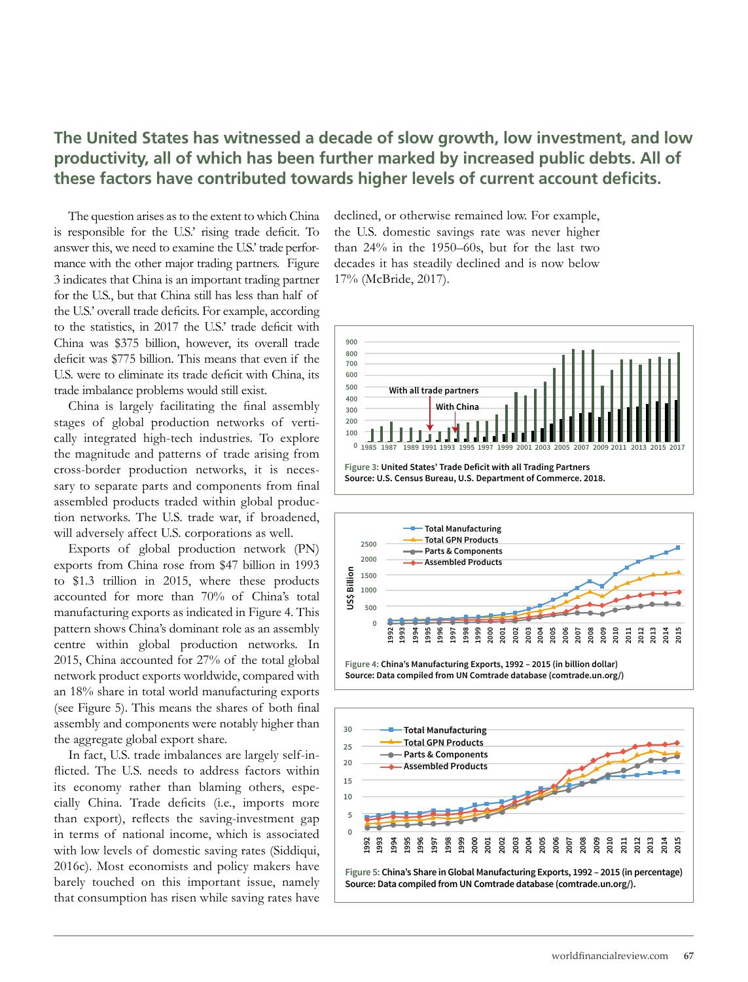## **The United States has witnessed a decade of slow growth, low investment, and low productivity, all of which has been further marked by increased public debts. All of these factors have contributed towards higher levels of current account deficits.**

The question arises as to the extent to which China is responsible for the U.S.' rising trade deficit. To answer this, we need to examine the U.S.' trade performance with the other major trading partners. Figure 3 indicates that China is an important trading partner for the U.S., but that China still has less than half of the U.S.' overall trade deficits. For example, according to the statistics, in 2017 the U.S.' trade deficit with China was \$375 billion, however, its overall trade deficit was \$775 billion. This means that even if the U.S. were to eliminate its trade deficit with China, its trade imbalance problems would still exist.

China is largely facilitating the final assembly stages of global production networks of vertically integrated high-tech industries. To explore the magnitude and patterns of trade arising from cross-border production networks, it is necessary to separate parts and components from final assembled products traded within global production networks. The U.S. trade war, if broadened, will adversely affect U.S. corporations as well.

Exports of global production network (PN) exports from China rose from \$47 billion in 1993 to \$1.3 trillion in 2015, where these products accounted for more than 70% of China's total manufacturing exports as indicated in Figure 4. This pattern shows China's dominant role as an assembly centre within global production networks. In 2015, China accounted for 27% of the total global network product exports worldwide, compared with an 18% share in total world manufacturing exports (see Figure 5). This means the shares of both final assembly and components were notably higher than the aggregate global export share.

In fact, U.S. trade imbalances are largely self-inflicted. The U.S. needs to address factors within its economy rather than blaming others, especially China. Trade deficits (i.e., imports more than export), reflects the saving-investment gap in terms of national income, which is associated with low levels of domestic saving rates (Siddiqui, 2016c). Most economists and policy makers have barely touched on this important issue, namely that consumption has risen while saving rates have

declined, or otherwise remained low. For example, the U.S. domestic savings rate was never higher than 24% in the 1950–60s, but for the last two decades it has steadily declined and is now below 17% (McBride, 2017).